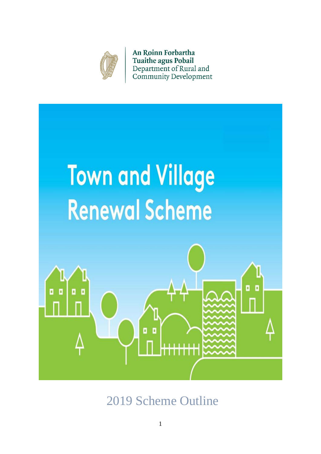

**An Roinn Forbartha Tuaithe agus Pobail** Department of Rural and **Community Development** 



2019 Scheme Outline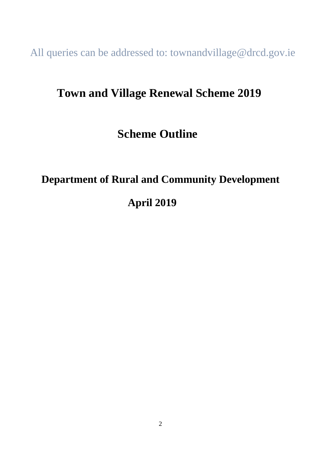All queries can be addressed to: townandvillage@drcd.gov.ie

# **Town and Village Renewal Scheme 2019**

# **Scheme Outline**

# **Department of Rural and Community Development**

# **April 2019**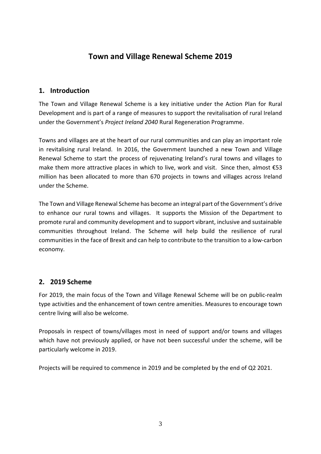## **Town and Village Renewal Scheme 2019**

#### **1. Introduction**

The Town and Village Renewal Scheme is a key initiative under the Action Plan for Rural Development and is part of a range of measures to support the revitalisation of rural Ireland under the Government's *Project Ireland 2040* Rural Regeneration Programme.

Towns and villages are at the heart of our rural communities and can play an important role in revitalising rural Ireland. In 2016, the Government launched a new Town and Village Renewal Scheme to start the process of rejuvenating Ireland's rural towns and villages to make them more attractive places in which to live, work and visit. Since then, almost €53 million has been allocated to more than 670 projects in towns and villages across Ireland under the Scheme.

The Town and Village Renewal Scheme has become an integral part of the Government's drive to enhance our rural towns and villages. It supports the Mission of the Department to promote rural and community development and to support vibrant, inclusive and sustainable communities throughout Ireland. The Scheme will help build the resilience of rural communities in the face of Brexit and can help to contribute to the transition to a low-carbon economy.

### **2. 2019 Scheme**

For 2019, the main focus of the Town and Village Renewal Scheme will be on public-realm type activities and the enhancement of town centre amenities. Measures to encourage town centre living will also be welcome.

Proposals in respect of towns/villages most in need of support and/or towns and villages which have not previously applied, or have not been successful under the scheme, will be particularly welcome in 2019.

Projects will be required to commence in 2019 and be completed by the end of Q2 2021.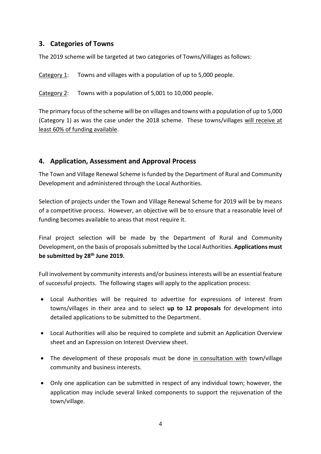#### **3. Categories of Towns**

The 2019 scheme will be targeted at two categories of Towns/Villages as follows:

Category 1: Towns and villages with a population of up to 5,000 people.

Category 2: Towns with a population of 5,001 to 10,000 people.

The primary focus of the scheme will be on villages and towns with a population of up to 5,000 (Category 1) as was the case under the 2018 scheme. These towns/villages will receive at least 60% of funding available.

#### **4. Application, Assessment and Approval Process**

The Town and Village Renewal Scheme is funded by the Department of Rural and Community Development and administered through the Local Authorities.

Selection of projects under the Town and Village Renewal Scheme for 2019 will be by means of a competitive process. However, an objective will be to ensure that a reasonable level of funding becomes available to areas that most require it.

Final project selection will be made by the Department of Rural and Community Development, on the basis of proposals submitted by the Local Authorities. **Applications must be submitted by 28th June 2019.**

Full involvement by community interests and/or business interests will be an essential feature of successful projects. The following stages will apply to the application process:

- Local Authorities will be required to advertise for expressions of interest from towns/villages in their area and to select **up to 12 proposals** for development into detailed applications to be submitted to the Department.
- Local Authorities will also be required to complete and submit an Application Overview sheet and an Expression on Interest Overview sheet.
- The development of these proposals must be done in consultation with town/village community and business interests.
- Only one application can be submitted in respect of any individual town; however, the application may include several linked components to support the rejuvenation of the town/village.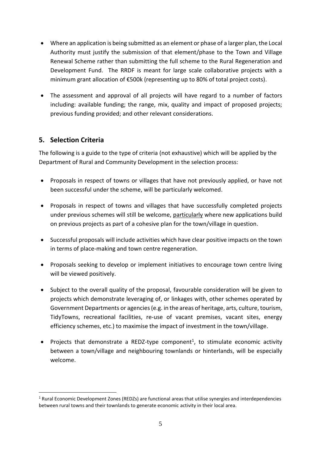- Where an application is being submitted as an element or phase of a larger plan, the Local Authority must justify the submission of that element/phase to the Town and Village Renewal Scheme rather than submitting the full scheme to the Rural Regeneration and Development Fund. The RRDF is meant for large scale collaborative projects with a minimum grant allocation of €500k (representing up to 80% of total project costs).
- The assessment and approval of all projects will have regard to a number of factors including: available funding; the range, mix, quality and impact of proposed projects; previous funding provided; and other relevant considerations.

### **5. Selection Criteria**

1

The following is a guide to the type of criteria (not exhaustive) which will be applied by the Department of Rural and Community Development in the selection process:

- Proposals in respect of towns or villages that have not previously applied, or have not been successful under the scheme, will be particularly welcomed.
- Proposals in respect of towns and villages that have successfully completed projects under previous schemes will still be welcome, particularly where new applications build on previous projects as part of a cohesive plan for the town/village in question.
- Successful proposals will include activities which have clear positive impacts on the town in terms of place-making and town centre regeneration.
- Proposals seeking to develop or implement initiatives to encourage town centre living will be viewed positively.
- Subject to the overall quality of the proposal, favourable consideration will be given to projects which demonstrate leveraging of, or linkages with, other schemes operated by Government Departments or agencies (e.g. in the areas of heritage, arts, culture, tourism, TidyTowns, recreational facilities, re-use of vacant premises, vacant sites, energy efficiency schemes, etc.) to maximise the impact of investment in the town/village.
- Projects that demonstrate a REDZ-type component<sup>1</sup>, to stimulate economic activity between a town/village and neighbouring townlands or hinterlands, will be especially welcome.

 $1$  Rural Economic Development Zones (REDZs) are functional areas that utilise synergies and interdependencies between rural towns and their townlands to generate economic activity in their local area.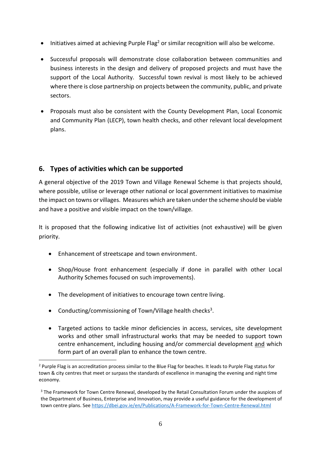- $\bullet$  Initiatives aimed at achieving Purple Flag<sup>2</sup> or similar recognition will also be welcome.
- Successful proposals will demonstrate close collaboration between communities and business interests in the design and delivery of proposed projects and must have the support of the Local Authority. Successful town revival is most likely to be achieved where there is close partnership on projects between the community, public, and private sectors.
- Proposals must also be consistent with the County Development Plan, Local Economic and Community Plan (LECP), town health checks, and other relevant local development plans.

### **6. Types of activities which can be supported**

A general objective of the 2019 Town and Village Renewal Scheme is that projects should, where possible, utilise or leverage other national or local government initiatives to maximise the impact on towns or villages. Measures which are taken under the scheme should be viable and have a positive and visible impact on the town/village.

It is proposed that the following indicative list of activities (not exhaustive) will be given priority.

- Enhancement of streetscape and town environment.
- Shop/House front enhancement (especially if done in parallel with other Local Authority Schemes focused on such improvements).
- The development of initiatives to encourage town centre living.
- Conducting/commissioning of Town/Village health checks<sup>3</sup>.

<u>.</u>

 Targeted actions to tackle minor deficiencies in access, services, site development works and other small infrastructural works that may be needed to support town centre enhancement, including housing and/or commercial development and which form part of an overall plan to enhance the town centre.

<sup>&</sup>lt;sup>2</sup> Purple Flag is an accreditation process similar to the Blue Flag for beaches. It leads to Purple Flag status for town & city centres that meet or surpass the standards of excellence in managing the evening and night time economy.

<sup>&</sup>lt;sup>3</sup> The Framework for Town Centre Renewal, developed by the Retail Consultation Forum under the auspices of the Department of Business, Enterprise and Innovation, may provide a useful guidance for the development of town centre plans. Se[e https://dbei.gov.ie/en/Publications/A-Framework-for-Town-Centre-Renewal.html](https://dbei.gov.ie/en/Publications/A-Framework-for-Town-Centre-Renewal.html)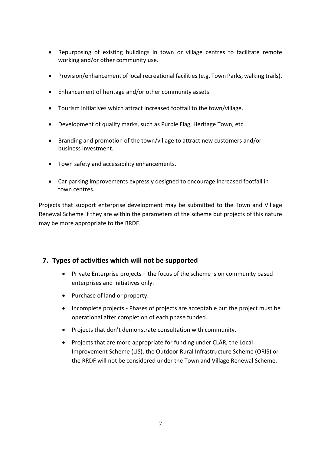- Repurposing of existing buildings in town or village centres to facilitate remote working and/or other community use.
- Provision/enhancement of local recreational facilities (e.g. Town Parks, walking trails).
- Enhancement of heritage and/or other community assets.
- Tourism initiatives which attract increased footfall to the town/village.
- Development of quality marks, such as Purple Flag, Heritage Town, etc.
- Branding and promotion of the town/village to attract new customers and/or business investment.
- Town safety and accessibility enhancements.
- Car parking improvements expressly designed to encourage increased footfall in town centres.

Projects that support enterprise development may be submitted to the Town and Village Renewal Scheme if they are within the parameters of the scheme but projects of this nature may be more appropriate to the RRDF.

#### **7. Types of activities which will not be supported**

- Private Enterprise projects the focus of the scheme is on community based enterprises and initiatives only.
- Purchase of land or property.
- Incomplete projects Phases of projects are acceptable but the project must be operational after completion of each phase funded.
- Projects that don't demonstrate consultation with community.
- Projects that are more appropriate for funding under CLÁR, the Local Improvement Scheme (LIS), the Outdoor Rural Infrastructure Scheme (ORIS) or the RRDF will not be considered under the Town and Village Renewal Scheme.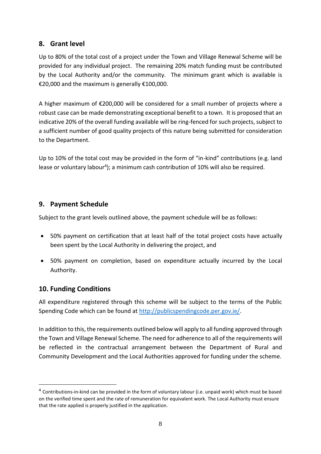#### **8. Grant level**

Up to 80% of the total cost of a project under the Town and Village Renewal Scheme will be provided for any individual project. The remaining 20% match funding must be contributed by the Local Authority and/or the community. The minimum grant which is available is €20,000 and the maximum is generally €100,000.

A higher maximum of €200,000 will be considered for a small number of projects where a robust case can be made demonstrating exceptional benefit to a town. It is proposed that an indicative 20% of the overall funding available will be ring-fenced for such projects, subject to a sufficient number of good quality projects of this nature being submitted for consideration to the Department.

Up to 10% of the total cost may be provided in the form of "in-kind" contributions (e.g. land lease or voluntary labour<sup>4</sup>); a minimum cash contribution of 10% will also be required.

### **9. Payment Schedule**

Subject to the grant levels outlined above, the payment schedule will be as follows:

- 50% payment on certification that at least half of the total project costs have actually been spent by the Local Authority in delivering the project, and
- 50% payment on completion, based on expenditure actually incurred by the Local Authority.

#### **10. Funding Conditions**

1

All expenditure registered through this scheme will be subject to the terms of the Public Spending Code which can be found at [http://publicspendingcode.per.gov.ie/.](http://publicspendingcode.per.gov.ie/)

In addition to this, the requirements outlined below will apply to all funding approved through the Town and Village Renewal Scheme. The need for adherence to all of the requirements will be reflected in the contractual arrangement between the Department of Rural and Community Development and the Local Authorities approved for funding under the scheme.

<sup>&</sup>lt;sup>4</sup> Contributions-in-kind can be provided in the form of voluntary labour (i.e. unpaid work) which must be based on the verified time spent and the rate of remuneration for equivalent work. The Local Authority must ensure that the rate applied is properly justified in the application.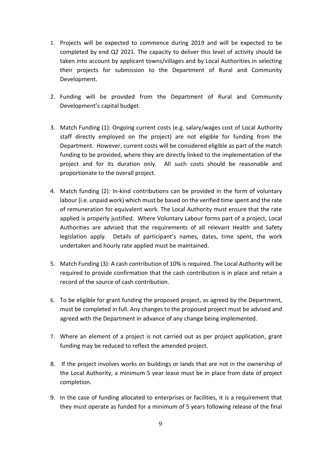- 1. Projects will be expected to commence during 2019 and will be expected to be completed by end Q2 2021. The capacity to deliver this level of activity should be taken into account by applicant towns/villages and by Local Authorities in selecting their projects for submission to the Department of Rural and Community Development.
- 2. Funding will be provided from the Department of Rural and Community Development's capital budget.
- 3. Match Funding (1): Ongoing current costs (e.g. salary/wages cost of Local Authority staff directly employed on the project) are not eligible for funding from the Department. However, current costs will be considered eligible as part of the match funding to be provided, where they are directly linked to the implementation of the project and for its duration only. All such costs should be reasonable and proportionate to the overall project.
- 4. Match funding (2): In-kind contributions can be provided in the form of voluntary labour (i.e. unpaid work) which must be based on the verified time spent and the rate of remuneration for equivalent work. The Local Authority must ensure that the rate applied is properly justified. Where Voluntary Labour forms part of a project, Local Authorities are advised that the requirements of all relevant Health and Safety legislation apply. Details of participant's names, dates, time spent, the work undertaken and hourly rate applied must be maintained.
- 5. Match Funding (3): A cash contribution of 10% is required. The Local Authority will be required to provide confirmation that the cash contribution is in place and retain a record of the source of cash contribution.
- 6. To be eligible for grant funding the proposed project, as agreed by the Department, must be completed in full. Any changes to the proposed project must be advised and agreed with the Department in advance of any change being implemented.
- 7. Where an element of a project is not carried out as per project application, grant funding may be reduced to reflect the amended project.
- 8. If the project involves works on buildings or lands that are not in the ownership of the Local Authority, a minimum 5 year lease must be in place from date of project completion.
- 9. In the case of funding allocated to enterprises or facilities, it is a requirement that they must operate as funded for a minimum of 5 years following release of the final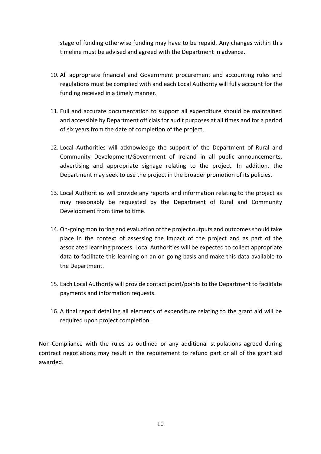stage of funding otherwise funding may have to be repaid. Any changes within this timeline must be advised and agreed with the Department in advance.

- 10. All appropriate financial and Government procurement and accounting rules and regulations must be complied with and each Local Authority will fully account for the funding received in a timely manner.
- 11. Full and accurate documentation to support all expenditure should be maintained and accessible by Department officials for audit purposes at all times and for a period of six years from the date of completion of the project.
- 12. Local Authorities will acknowledge the support of the Department of Rural and Community Development/Government of Ireland in all public announcements, advertising and appropriate signage relating to the project. In addition, the Department may seek to use the project in the broader promotion of its policies.
- 13. Local Authorities will provide any reports and information relating to the project as may reasonably be requested by the Department of Rural and Community Development from time to time.
- 14. On-going monitoring and evaluation of the project outputs and outcomes should take place in the context of assessing the impact of the project and as part of the associated learning process. Local Authorities will be expected to collect appropriate data to facilitate this learning on an on-going basis and make this data available to the Department.
- 15. Each Local Authority will provide contact point/points to the Department to facilitate payments and information requests.
- 16. A final report detailing all elements of expenditure relating to the grant aid will be required upon project completion.

Non-Compliance with the rules as outlined or any additional stipulations agreed during contract negotiations may result in the requirement to refund part or all of the grant aid awarded.